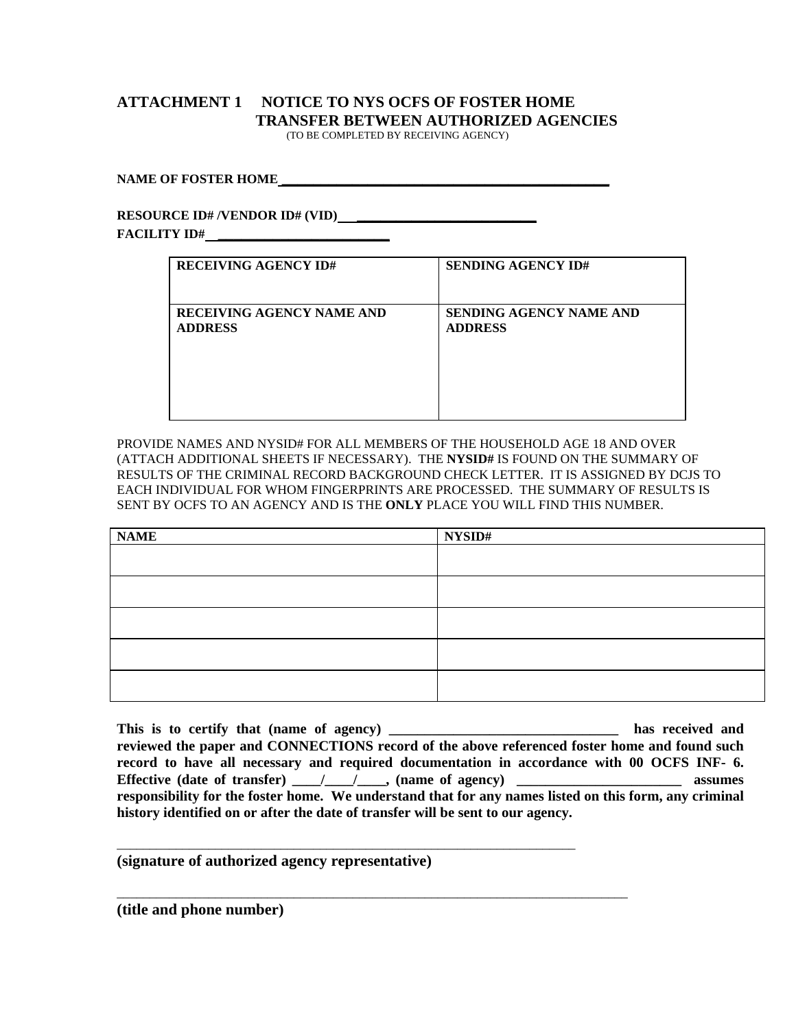## **ATTACHMENT 1 NOTICE TO NYS OCFS OF FOSTER HOME TRANSFER BETWEEN AUTHORIZED AGENCIES**

(TO BE COMPLETED BY RECEIVING AGENCY)

## **NAME OF FOSTER HOME \_\_\_\_\_\_\_\_\_\_\_\_\_\_\_\_\_\_\_\_\_\_\_\_\_\_\_\_\_\_\_\_\_\_\_\_\_\_\_\_\_\_**

## **RESOURCE ID# /VENDOR ID# (VID) FACILITY ID# \_\_\_\_\_\_\_\_\_\_\_\_\_\_\_\_\_\_\_\_\_\_**

| <b>RECEIVING AGENCY ID#</b> | <b>SENDING AGENCY ID#</b>      |
|-----------------------------|--------------------------------|
| RECEIVING AGENCY NAME AND   | <b>SENDING AGENCY NAME AND</b> |
| <b>ADDRESS</b>              | <b>ADDRESS</b>                 |

PROVIDE NAMES AND NYSID# FOR ALL MEMBERS OF THE HOUSEHOLD AGE 18 AND OVER (ATTACH ADDITIONAL SHEETS IF NECESSARY). THE **NYSID#** IS FOUND ON THE SUMMARY OF RESULTS OF THE CRIMINAL RECORD BACKGROUND CHECK LETTER. IT IS ASSIGNED BY DCJS TO EACH INDIVIDUAL FOR WHOM FINGERPRINTS ARE PROCESSED. THE SUMMARY OF RESULTS IS SENT BY OCFS TO AN AGENCY AND IS THE **ONLY** PLACE YOU WILL FIND THIS NUMBER.

| <b>NAME</b> | NYSID# |
|-------------|--------|
|             |        |
|             |        |
|             |        |
|             |        |
|             |        |

**This is to certify that (name of agency) \_\_\_\_\_\_\_\_\_\_\_\_\_\_\_\_\_\_\_\_\_\_\_\_\_\_\_\_\_\_\_\_ has received and reviewed the paper and CONNECTIONS record of the above referenced foster home and found such record to have all necessary and required documentation in accordance with 00 OCFS INF- 6. Effective (date of transfer) \_\_\_\_/\_\_\_\_/\_\_\_\_, (name of agency) \_\_\_\_\_\_\_\_\_\_\_\_\_\_\_\_\_\_\_\_\_\_\_ assumes responsibility for the foster home. We understand that for any names listed on this form, any criminal history identified on or after the date of transfer will be sent to our agency.** 

**(signature of authorized agency representative)** 

\_\_\_\_\_\_\_\_\_\_\_\_\_\_\_\_\_\_\_\_\_\_\_\_\_\_\_\_\_\_\_\_\_\_\_\_\_\_\_\_\_\_\_\_\_\_\_\_\_\_\_\_\_\_\_\_\_\_\_\_\_\_\_\_\_\_\_\_\_\_

\_\_\_\_\_\_\_\_\_\_\_\_\_\_\_\_\_\_\_\_\_\_\_\_\_\_\_\_\_\_\_\_\_\_\_\_\_\_\_\_\_\_\_\_\_\_\_\_\_\_\_\_\_\_\_\_\_\_\_\_\_\_\_\_\_\_\_\_\_\_\_\_\_\_\_\_\_\_

**(title and phone number)**